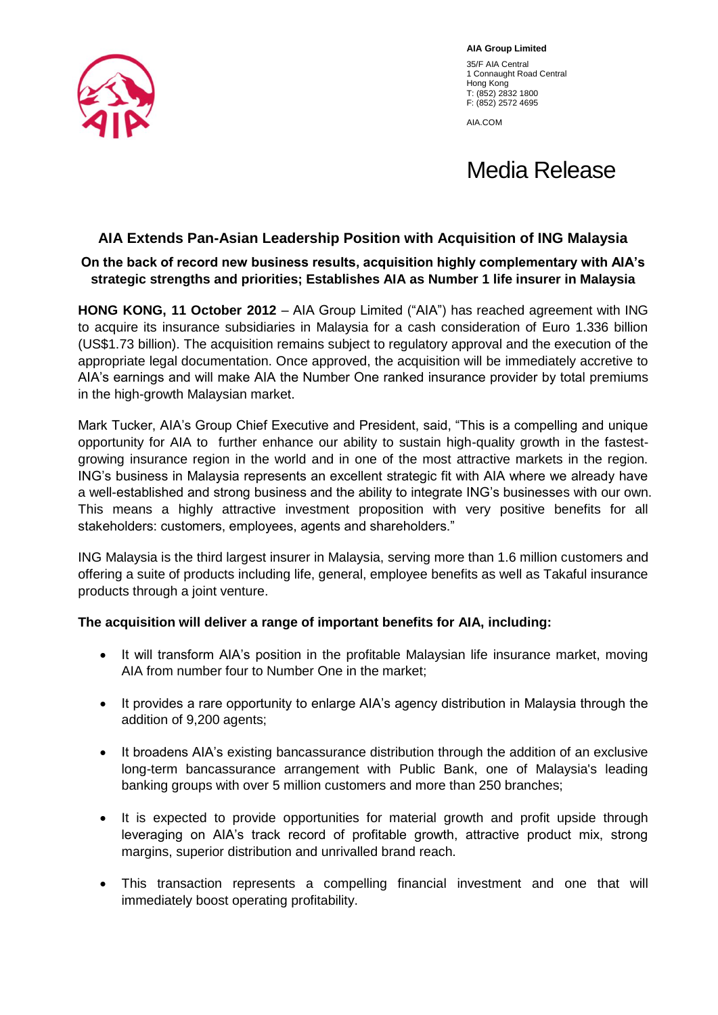

**AIA Group Limited** 35/F AIA Central 1 Connaught Road Central Hong Kong T: (852) 2832 1800 F: (852) 2572 4695

AIA.COM

# Media Release

## **AIA Extends Pan-Asian Leadership Position with Acquisition of ING Malaysia**

## **On the back of record new business results, acquisition highly complementary with AIA's strategic strengths and priorities; Establishes AIA as Number 1 life insurer in Malaysia**

**HONG KONG, 11 October 2012** – AIA Group Limited ("AIA") has reached agreement with ING to acquire its insurance subsidiaries in Malaysia for a cash consideration of Euro 1.336 billion (US\$1.73 billion). The acquisition remains subject to regulatory approval and the execution of the appropriate legal documentation. Once approved, the acquisition will be immediately accretive to AIA's earnings and will make AIA the Number One ranked insurance provider by total premiums in the high-growth Malaysian market.

Mark Tucker, AIA's Group Chief Executive and President, said, "This is a compelling and unique opportunity for AIA to further enhance our ability to sustain high-quality growth in the fastestgrowing insurance region in the world and in one of the most attractive markets in the region. ING's business in Malaysia represents an excellent strategic fit with AIA where we already have a well-established and strong business and the ability to integrate ING's businesses with our own. This means a highly attractive investment proposition with very positive benefits for all stakeholders: customers, employees, agents and shareholders."

ING Malaysia is the third largest insurer in Malaysia, serving more than 1.6 million customers and offering a suite of products including life, general, employee benefits as well as Takaful insurance products through a joint venture.

## **The acquisition will deliver a range of important benefits for AIA, including:**

- It will transform AIA's position in the profitable Malaysian life insurance market, moving AIA from number four to Number One in the market;
- It provides a rare opportunity to enlarge AIA's agency distribution in Malaysia through the addition of 9,200 agents;
- It broadens AIA's existing bancassurance distribution through the addition of an exclusive long-term bancassurance arrangement with Public Bank, one of Malaysia's leading banking groups with over 5 million customers and more than 250 branches;
- It is expected to provide opportunities for material growth and profit upside through leveraging on AIA's track record of profitable growth, attractive product mix, strong margins, superior distribution and unrivalled brand reach.
- This transaction represents a compelling financial investment and one that will immediately boost operating profitability.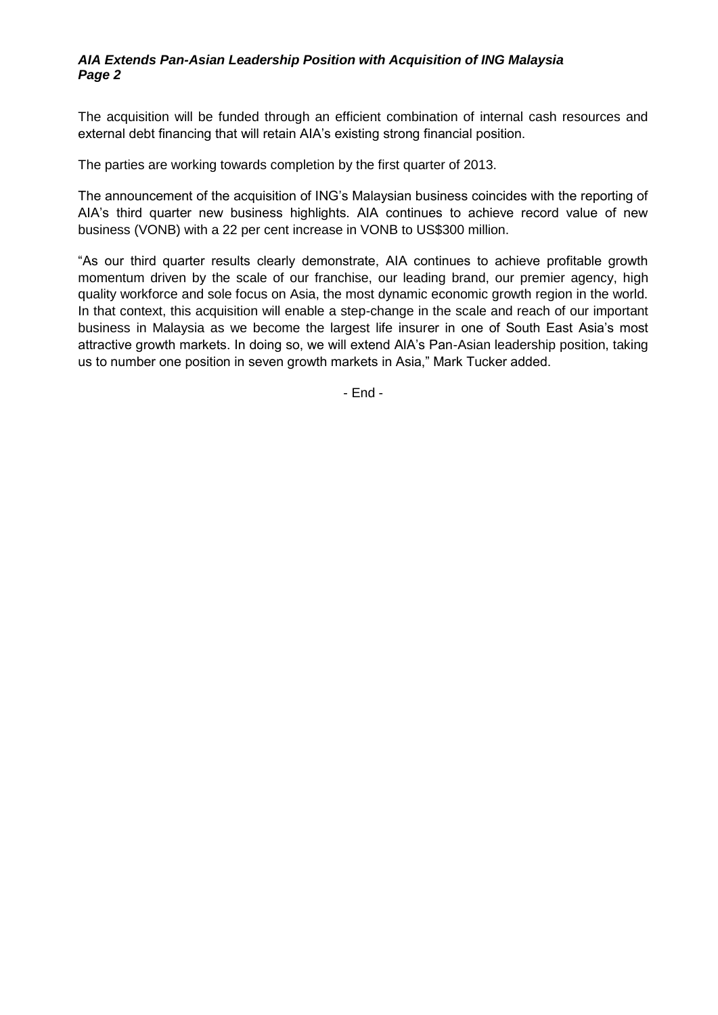### *AIA Extends Pan-Asian Leadership Position with Acquisition of ING Malaysia Page 2*

The acquisition will be funded through an efficient combination of internal cash resources and external debt financing that will retain AIA's existing strong financial position.

The parties are working towards completion by the first quarter of 2013.

The announcement of the acquisition of ING's Malaysian business coincides with the reporting of AIA's third quarter new business highlights. AIA continues to achieve record value of new business (VONB) with a 22 per cent increase in VONB to US\$300 million.

"As our third quarter results clearly demonstrate, AIA continues to achieve profitable growth momentum driven by the scale of our franchise, our leading brand, our premier agency, high quality workforce and sole focus on Asia, the most dynamic economic growth region in the world. In that context, this acquisition will enable a step-change in the scale and reach of our important business in Malaysia as we become the largest life insurer in one of South East Asia's most attractive growth markets. In doing so, we will extend AIA's Pan-Asian leadership position, taking us to number one position in seven growth markets in Asia," Mark Tucker added.

- End -